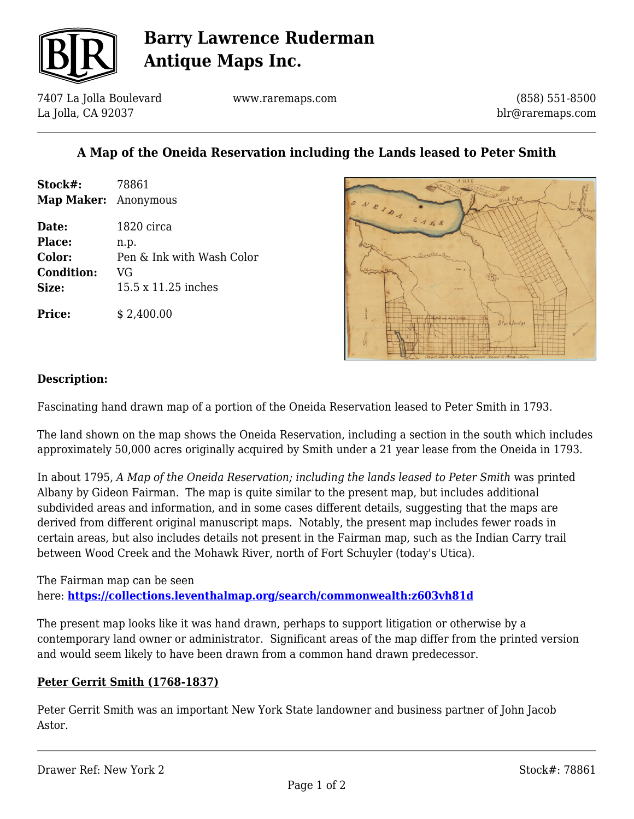

# **Barry Lawrence Ruderman Antique Maps Inc.**

7407 La Jolla Boulevard La Jolla, CA 92037

www.raremaps.com

(858) 551-8500 blr@raremaps.com

### **A Map of the Oneida Reservation including the Lands leased to Peter Smith**

| Stock#:                     | 78861                     |
|-----------------------------|---------------------------|
| <b>Map Maker:</b> Anonymous |                           |
| Date:                       | 1820 circa                |
| <b>Place:</b>               | n.p.                      |
| Color:                      | Pen & Ink with Wash Color |
| <b>Condition:</b>           | VG                        |
| Size:                       | 15.5 x 11.25 inches       |
| <b>Price:</b>               | \$2,400.00                |



#### **Description:**

Fascinating hand drawn map of a portion of the Oneida Reservation leased to Peter Smith in 1793.

The land shown on the map shows the Oneida Reservation, including a section in the south which includes approximately 50,000 acres originally acquired by Smith under a 21 year lease from the Oneida in 1793.

In about 1795, *A Map of the Oneida Reservation; including the lands leased to Peter Smith* was printed Albany by Gideon Fairman. The map is quite similar to the present map, but includes additional subdivided areas and information, and in some cases different details, suggesting that the maps are derived from different original manuscript maps. Notably, the present map includes fewer roads in certain areas, but also includes details not present in the Fairman map, such as the Indian Carry trail between Wood Creek and the Mohawk River, north of Fort Schuyler (today's Utica).

The Fairman map can be seen here: **<https://collections.leventhalmap.org/search/commonwealth:z603vh81d>**

The present map looks like it was hand drawn, perhaps to support litigation or otherwise by a contemporary land owner or administrator. Significant areas of the map differ from the printed version and would seem likely to have been drawn from a common hand drawn predecessor.

#### **Peter Gerrit Smith (1768-1837)**

Peter Gerrit Smith was an important New York State landowner and business partner of John Jacob Astor.